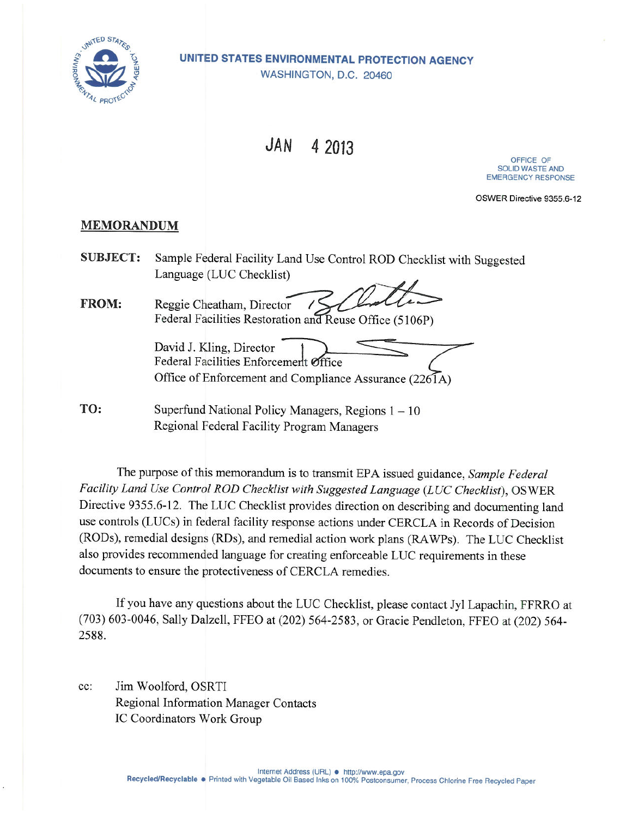

UNITED STATES ENVIRONMENTAL PROTECTION AGENCY WASHINGTON, D.C. 20460

> **JAN** 4 2013

OFFICE OF **SOLID WASTE AND EMERGENCY RESPONSE** 

OSWER Directive 9355.6-12

## **MEMORANDUM**

**SUBJECT:** Sample Federal Facility Land Use Control ROD Checklist with Suggested Language (LUC Checklist)

FROM: Reggie Cheatham, Director Federal Facilities Restoration and Reuse Office (5106P)

David J. Kling, Director Federal Facilities Enforcement Office Office of Enforcement and Compliance Assurance (2261A)

TO: Superfund National Policy Managers, Regions  $1 - 10$ Regional Federal Facility Program Managers

The purpose of this memorandum is to transmit EPA issued guidance, Sample Federal Facility Land Use Control ROD Checklist with Suggested Language (LUC Checklist), OSWER Directive 9355.6-12. The LUC Checklist provides direction on describing and documenting land use controls (LUCs) in federal facility response actions under CERCLA in Records of Decision (RODs), remedial designs (RDs), and remedial action work plans (RAWPs). The LUC Checklist also provides recommended language for creating enforceable LUC requirements in these documents to ensure the protectiveness of CERCLA remedies.

If you have any questions about the LUC Checklist, please contact Jyl Lapachin, FFRRO at (703) 603-0046, Sally Dalzell, FFEO at (202) 564-2583, or Gracie Pendleton, FFEO at (202) 564-2588.

Jim Woolford, OSRTI cc: Regional Information Manager Contacts IC Coordinators Work Group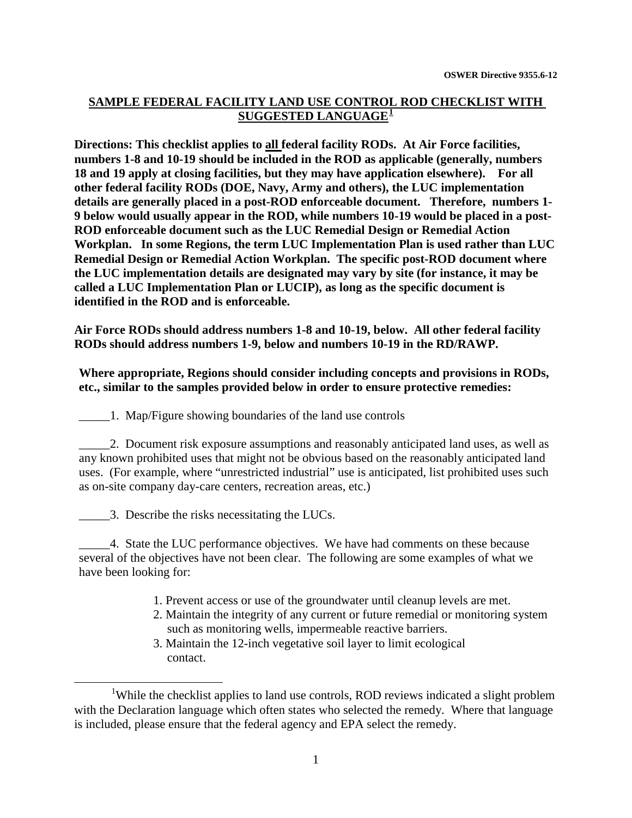## **SAMPLE FEDERAL FACILITY LAND USE CONTROL ROD CHECKLIST WITH SUGGESTED LANGUAGE[1](#page-1-0)**

**Directions: This checklist applies to all federal facility RODs. At Air Force facilities, numbers 1-8 and 10-19 should be included in the ROD as applicable (generally, numbers 18 and 19 apply at closing facilities, but they may have application elsewhere). For all other federal facility RODs (DOE, Navy, Army and others), the LUC implementation details are generally placed in a post-ROD enforceable document. Therefore, numbers 1- 9 below would usually appear in the ROD, while numbers 10-19 would be placed in a post-ROD enforceable document such as the LUC Remedial Design or Remedial Action Workplan. In some Regions, the term LUC Implementation Plan is used rather than LUC Remedial Design or Remedial Action Workplan. The specific post-ROD document where the LUC implementation details are designated may vary by site (for instance, it may be called a LUC Implementation Plan or LUCIP), as long as the specific document is identified in the ROD and is enforceable.**

**Air Force RODs should address numbers 1-8 and 10-19, below. All other federal facility RODs should address numbers 1-9, below and numbers 10-19 in the RD/RAWP.**

## **Where appropriate, Regions should consider including concepts and provisions in RODs, etc., similar to the samples provided below in order to ensure protective remedies:**

\_\_\_\_\_1. Map/Figure showing boundaries of the land use controls

\_\_\_\_\_2. Document risk exposure assumptions and reasonably anticipated land uses, as well as any known prohibited uses that might not be obvious based on the reasonably anticipated land uses. (For example, where "unrestricted industrial" use is anticipated, list prohibited uses such as on-site company day-care centers, recreation areas, etc.)

\_\_\_\_\_3. Describe the risks necessitating the LUCs.

\_\_\_\_\_4. State the LUC performance objectives. We have had comments on these because several of the objectives have not been clear. The following are some examples of what we have been looking for:

- 1. Prevent access or use of the groundwater until cleanup levels are met.
- 2. Maintain the integrity of any current or future remedial or monitoring system such as monitoring wells, impermeable reactive barriers.
- 3. Maintain the 12-inch vegetative soil layer to limit ecological contact.

<span id="page-1-0"></span><sup>&</sup>lt;u>1</u> <sup>1</sup>While the checklist applies to land use controls, ROD reviews indicated a slight problem with the Declaration language which often states who selected the remedy. Where that language is included, please ensure that the federal agency and EPA select the remedy.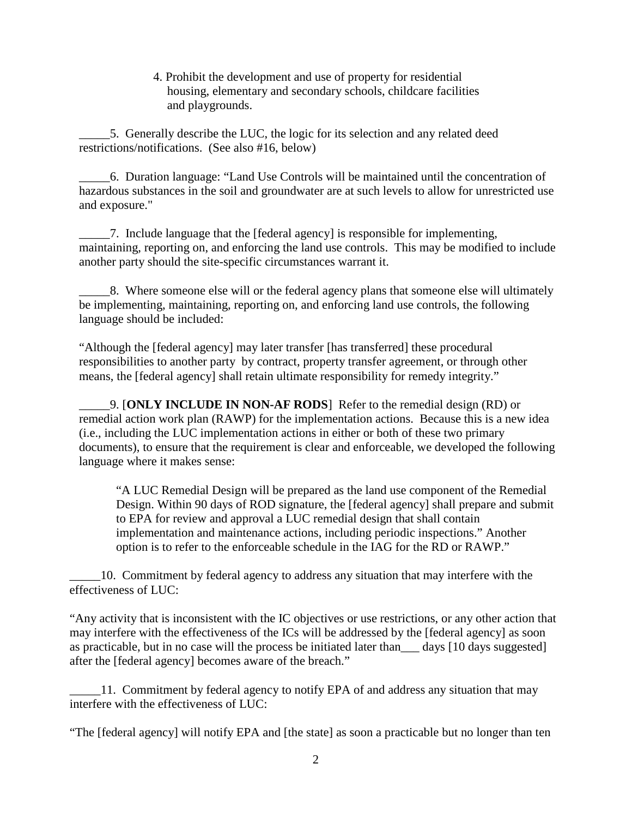4. Prohibit the development and use of property for residential housing, elementary and secondary schools, childcare facilities and playgrounds.

\_\_\_\_\_5. Generally describe the LUC, the logic for its selection and any related deed restrictions/notifications. (See also #16, below)

\_\_\_\_\_6. Duration language: "Land Use Controls will be maintained until the concentration of hazardous substances in the soil and groundwater are at such levels to allow for unrestricted use and exposure."

\_\_\_\_\_7. Include language that the [federal agency] is responsible for implementing, maintaining, reporting on, and enforcing the land use controls. This may be modified to include another party should the site-specific circumstances warrant it.

8. Where someone else will or the federal agency plans that someone else will ultimately be implementing, maintaining, reporting on, and enforcing land use controls, the following language should be included:

"Although the [federal agency] may later transfer [has transferred] these procedural responsibilities to another party by contract, property transfer agreement, or through other means, the [federal agency] shall retain ultimate responsibility for remedy integrity."

\_\_\_\_\_9. [**ONLY INCLUDE IN NON-AF RODS**] Refer to the remedial design (RD) or remedial action work plan (RAWP) for the implementation actions. Because this is a new idea (i.e., including the LUC implementation actions in either or both of these two primary documents), to ensure that the requirement is clear and enforceable, we developed the following language where it makes sense:

"A LUC Remedial Design will be prepared as the land use component of the Remedial Design. Within 90 days of ROD signature, the [federal agency] shall prepare and submit to EPA for review and approval a LUC remedial design that shall contain implementation and maintenance actions, including periodic inspections." Another option is to refer to the enforceable schedule in the IAG for the RD or RAWP."

\_\_\_\_\_10. Commitment by federal agency to address any situation that may interfere with the effectiveness of LUC:

"Any activity that is inconsistent with the IC objectives or use restrictions, or any other action that may interfere with the effectiveness of the ICs will be addressed by the [federal agency] as soon as practicable, but in no case will the process be initiated later than\_\_\_ days [10 days suggested] after the [federal agency] becomes aware of the breach."

\_\_\_\_\_11. Commitment by federal agency to notify EPA of and address any situation that may interfere with the effectiveness of LUC:

"The [federal agency] will notify EPA and [the state] as soon a practicable but no longer than ten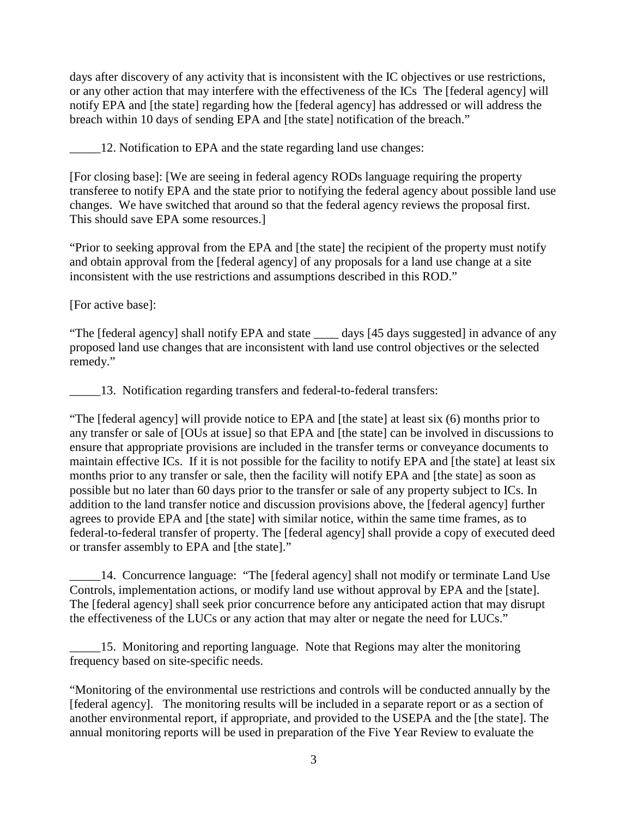days after discovery of any activity that is inconsistent with the IC objectives or use restrictions, or any other action that may interfere with the effectiveness of the ICs The [federal agency] will notify EPA and [the state] regarding how the [federal agency] has addressed or will address the breach within 10 days of sending EPA and [the state] notification of the breach."

\_\_\_\_\_12. Notification to EPA and the state regarding land use changes:

[For closing base]: [We are seeing in federal agency RODs language requiring the property transferee to notify EPA and the state prior to notifying the federal agency about possible land use changes. We have switched that around so that the federal agency reviews the proposal first. This should save EPA some resources.]

"Prior to seeking approval from the EPA and [the state] the recipient of the property must notify and obtain approval from the [federal agency] of any proposals for a land use change at a site inconsistent with the use restrictions and assumptions described in this ROD."

[For active base]:

"The [federal agency] shall notify EPA and state \_\_\_\_ days [45 days suggested] in advance of any proposed land use changes that are inconsistent with land use control objectives or the selected remedy."

\_\_\_\_\_13. Notification regarding transfers and federal-to-federal transfers:

"The [federal agency] will provide notice to EPA and [the state] at least six (6) months prior to any transfer or sale of [OUs at issue] so that EPA and [the state] can be involved in discussions to ensure that appropriate provisions are included in the transfer terms or conveyance documents to maintain effective ICs. If it is not possible for the facility to notify EPA and [the state] at least six months prior to any transfer or sale, then the facility will notify EPA and [the state] as soon as possible but no later than 60 days prior to the transfer or sale of any property subject to ICs. In addition to the land transfer notice and discussion provisions above, the [federal agency] further agrees to provide EPA and [the state] with similar notice, within the same time frames, as to federal-to-federal transfer of property. The [federal agency] shall provide a copy of executed deed or transfer assembly to EPA and [the state]."

14. Concurrence language: "The [federal agency] shall not modify or terminate Land Use Controls, implementation actions, or modify land use without approval by EPA and the [state]. The [federal agency] shall seek prior concurrence before any anticipated action that may disrupt the effectiveness of the LUCs or any action that may alter or negate the need for LUCs."

15. Monitoring and reporting language. Note that Regions may alter the monitoring frequency based on site-specific needs.

"Monitoring of the environmental use restrictions and controls will be conducted annually by the [federal agency]. The monitoring results will be included in a separate report or as a section of another environmental report, if appropriate, and provided to the USEPA and the [the state]. The annual monitoring reports will be used in preparation of the Five Year Review to evaluate the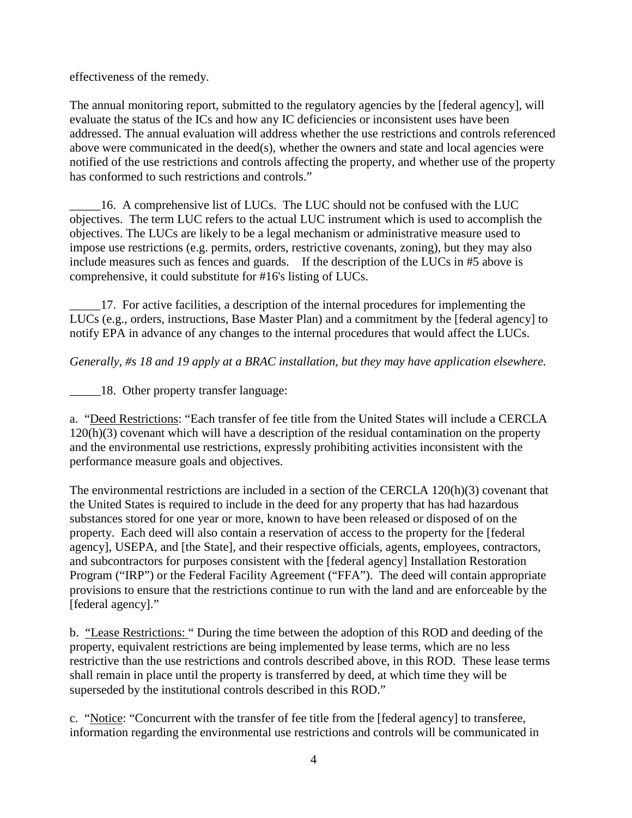effectiveness of the remedy.

The annual monitoring report, submitted to the regulatory agencies by the [federal agency], will evaluate the status of the ICs and how any IC deficiencies or inconsistent uses have been addressed. The annual evaluation will address whether the use restrictions and controls referenced above were communicated in the deed(s), whether the owners and state and local agencies were notified of the use restrictions and controls affecting the property, and whether use of the property has conformed to such restrictions and controls."

\_\_\_\_\_16. A comprehensive list of LUCs.The LUC should not be confused with the LUC objectives. The term LUC refers to the actual LUC instrument which is used to accomplish the objectives. The LUCs are likely to be a legal mechanism or administrative measure used to impose use restrictions (e.g. permits, orders, restrictive covenants, zoning), but they may also include measures such as fences and guards. If the description of the LUCs in #5 above is comprehensive, it could substitute for #16's listing of LUCs.

\_\_\_\_\_17. For active facilities, a description of the internal procedures for implementing the LUCs (e.g., orders, instructions, Base Master Plan) and a commitment by the [federal agency] to notify EPA in advance of any changes to the internal procedures that would affect the LUCs.

*Generally, #s 18 and 19 apply at a BRAC installation, but they may have application elsewhere.*

\_\_\_\_\_18. Other property transfer language:

a. "Deed Restrictions: "Each transfer of fee title from the United States will include a CERCLA 120(h)(3) covenant which will have a description of the residual contamination on the property and the environmental use restrictions, expressly prohibiting activities inconsistent with the performance measure goals and objectives.

The environmental restrictions are included in a section of the CERCLA 120(h)(3) covenant that the United States is required to include in the deed for any property that has had hazardous substances stored for one year or more, known to have been released or disposed of on the property. Each deed will also contain a reservation of access to the property for the [federal agency], USEPA, and [the State], and their respective officials, agents, employees, contractors, and subcontractors for purposes consistent with the [federal agency] Installation Restoration Program ("IRP") or the Federal Facility Agreement ("FFA"). The deed will contain appropriate provisions to ensure that the restrictions continue to run with the land and are enforceable by the [federal agency]."

b. "Lease Restrictions: " During the time between the adoption of this ROD and deeding of the property, equivalent restrictions are being implemented by lease terms, which are no less restrictive than the use restrictions and controls described above, in this ROD. These lease terms shall remain in place until the property is transferred by deed, at which time they will be superseded by the institutional controls described in this ROD."

c. "Notice: "Concurrent with the transfer of fee title from the [federal agency] to transferee, information regarding the environmental use restrictions and controls will be communicated in